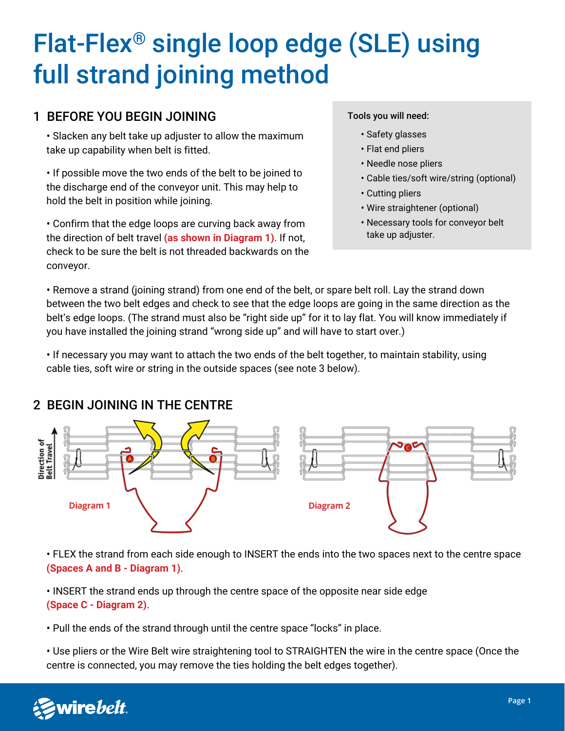# Flat-Flex® single loop edge (SLE) using full strand joining method

### 1 BEFORE YOU BEGIN JOINING

• Slacken any belt take up adjuster to allow the maximum take up capability when belt is fitted.

• If possible move the two ends of the belt to be joined to the discharge end of the conveyor unit. This may help to hold the belt in position while joining.

• Confirm that the edge loops are curving back away from the direction of belt travel **(as shown in Diagram 1)**. If not, check to be sure the belt is not threaded backwards on the conveyor.

#### Tools you will need:

- Safety glasses
- Flat end pliers
- Needle nose pliers
- Cable ties/soft wire/string (optional)
- Cutting pliers
- Wire straightener (optional)
- Necessary tools for conveyor belt take up adjuster.

• Remove a strand (joining strand) from one end of the belt, or spare belt roll. Lay the strand down between the two belt edges and check to see that the edge loops are going in the same direction as the belt's edge loops. (The strand must also be "right side up" for it to lay flat. You will know immediately if you have installed the joining strand "wrong side up" and will have to start over.)

• If necessary you may want to attach the two ends of the belt together, to maintain stability, using cable ties, soft wire or string in the outside spaces (see note 3 below).



#### 2 BEGIN JOINING IN THE CENTRE

• FLEX the strand from each side enough to INSERT the ends into the two spaces next to the centre space **(Spaces A and B - Diagram 1)**.

• INSERT the strand ends up through the centre space of the opposite near side edge **(Space C - Diagram 2)**.

• Pull the ends of the strand through until the centre space "locks" in place.

• Use pliers or the Wire Belt wire straightening tool to STRAIGHTEN the wire in the centre space (Once the centre is connected, you may remove the ties holding the belt edges together).

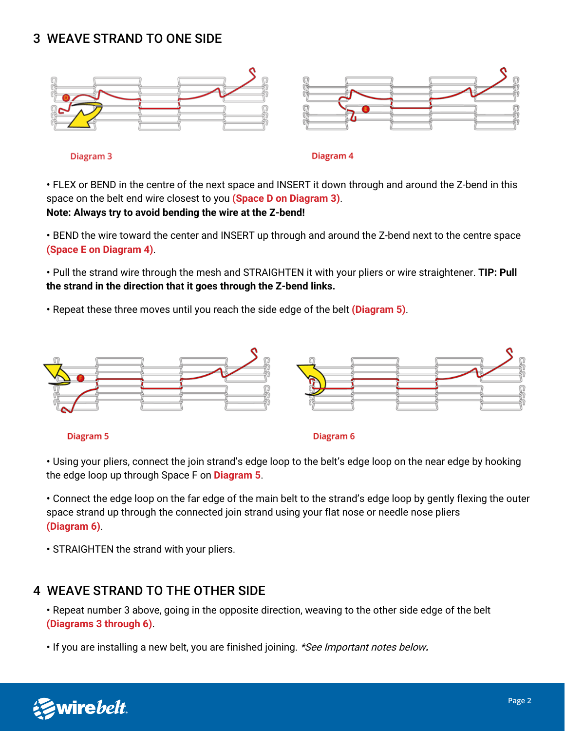# 3 WEAVE STRAND TO ONE SIDE



Diagram<sub>3</sub>

Diagram 4

• FLEX or BEND in the centre of the next space and INSERT it down through and around the Z-bend in this space on the belt end wire closest to you **(Space D on Diagram 3)**. **Note: Always try to avoid bending the wire at the Z-bend!**

• BEND the wire toward the center and INSERT up through and around the Z-bend next to the centre space **(Space E on Diagram 4)**.

• Pull the strand wire through the mesh and STRAIGHTEN it with your pliers or wire straightener. **TIP: Pull the strand in the direction that it goes through the Z-bend links.**

• Repeat these three moves until you reach the side edge of the belt **(Diagram 5)**.



• Using your pliers, connect the join strand's edge loop to the belt's edge loop on the near edge by hooking the edge loop up through Space F on **Diagram 5**.

• Connect the edge loop on the far edge of the main belt to the strand's edge loop by gently flexing the outer space strand up through the connected join strand using your flat nose or needle nose pliers **(Diagram 6)**.

• STRAIGHTEN the strand with your pliers.

#### 4 WEAVE STRAND TO THE OTHER SIDE

• Repeat number 3 above, going in the opposite direction, weaving to the other side edge of the belt **(Diagrams 3 through 6)**.

• If you are installing a new belt, you are finished joining. \*See Important notes below**.**